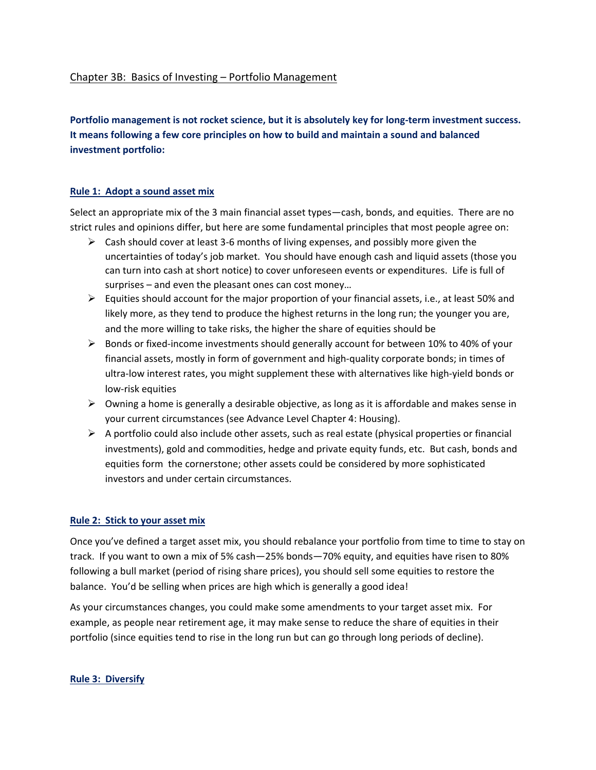# Chapter 3B: Basics of Investing – Portfolio Management

**Portfolio management is not rocket science, but it is absolutely key for long-term investment success. It means following a few core principles on how to build and maintain a sound and balanced investment portfolio:** 

#### **Rule 1: Adopt a sound asset mix**

Select an appropriate mix of the 3 main financial asset types—cash, bonds, and equities. There are no strict rules and opinions differ, but here are some fundamental principles that most people agree on:

- $\triangleright$  Cash should cover at least 3-6 months of living expenses, and possibly more given the uncertainties of today's job market. You should have enough cash and liquid assets (those you can turn into cash at short notice) to cover unforeseen events or expenditures. Life is full of surprises – and even the pleasant ones can cost money…
- $\triangleright$  Equities should account for the major proportion of your financial assets, i.e., at least 50% and likely more, as they tend to produce the highest returns in the long run; the younger you are, and the more willing to take risks, the higher the share of equities should be
- $\triangleright$  Bonds or fixed-income investments should generally account for between 10% to 40% of your financial assets, mostly in form of government and high-quality corporate bonds; in times of ultra-low interest rates, you might supplement these with alternatives like high-yield bonds or low-risk equities
- $\triangleright$  Owning a home is generally a desirable objective, as long as it is affordable and makes sense in your current circumstances (see Advance Level Chapter 4: Housing).
- $\triangleright$  A portfolio could also include other assets, such as real estate (physical properties or financial investments), gold and commodities, hedge and private equity funds, etc. But cash, bonds and equities form the cornerstone; other assets could be considered by more sophisticated investors and under certain circumstances.

#### **Rule 2: Stick to your asset mix**

Once you've defined a target asset mix, you should rebalance your portfolio from time to time to stay on track. If you want to own a mix of 5% cash—25% bonds—70% equity, and equities have risen to 80% following a bull market (period of rising share prices), you should sell some equities to restore the balance. You'd be selling when prices are high which is generally a good idea!

As your circumstances changes, you could make some amendments to your target asset mix. For example, as people near retirement age, it may make sense to reduce the share of equities in their portfolio (since equities tend to rise in the long run but can go through long periods of decline).

#### **Rule 3: Diversify**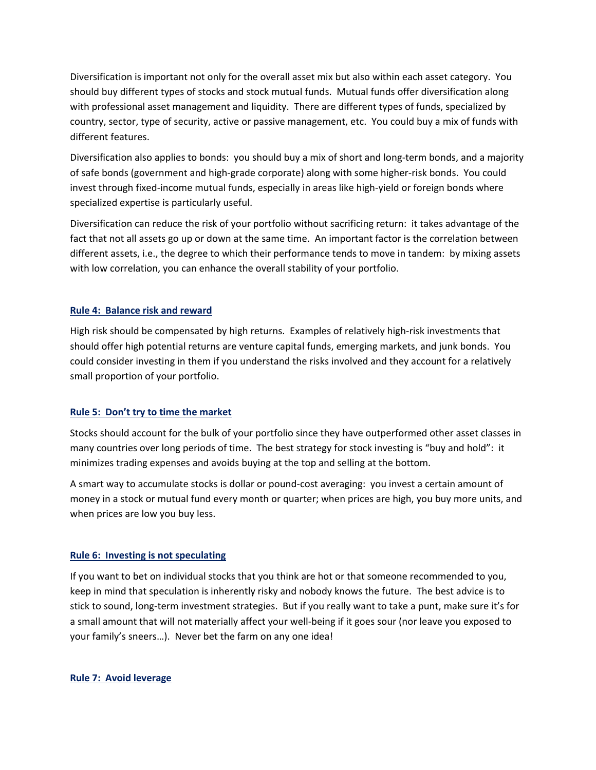Diversification is important not only for the overall asset mix but also within each asset category. You should buy different types of stocks and stock mutual funds. Mutual funds offer diversification along with professional asset management and liquidity. There are different types of funds, specialized by country, sector, type of security, active or passive management, etc. You could buy a mix of funds with different features.

Diversification also applies to bonds: you should buy a mix of short and long-term bonds, and a majority of safe bonds (government and high-grade corporate) along with some higher-risk bonds. You could invest through fixed-income mutual funds, especially in areas like high-yield or foreign bonds where specialized expertise is particularly useful.

Diversification can reduce the risk of your portfolio without sacrificing return: it takes advantage of the fact that not all assets go up or down at the same time. An important factor is the correlation between different assets, i.e., the degree to which their performance tends to move in tandem: by mixing assets with low correlation, you can enhance the overall stability of your portfolio.

# **Rule 4: Balance risk and reward**

High risk should be compensated by high returns. Examples of relatively high-risk investments that should offer high potential returns are venture capital funds, emerging markets, and junk bonds. You could consider investing in them if you understand the risks involved and they account for a relatively small proportion of your portfolio.

# **Rule 5: Don't try to time the market**

Stocks should account for the bulk of your portfolio since they have outperformed other asset classes in many countries over long periods of time. The best strategy for stock investing is "buy and hold": it minimizes trading expenses and avoids buying at the top and selling at the bottom.

A smart way to accumulate stocks is dollar or pound-cost averaging: you invest a certain amount of money in a stock or mutual fund every month or quarter; when prices are high, you buy more units, and when prices are low you buy less.

# **Rule 6: Investing is not speculating**

If you want to bet on individual stocks that you think are hot or that someone recommended to you, keep in mind that speculation is inherently risky and nobody knows the future. The best advice is to stick to sound, long-term investment strategies. But if you really want to take a punt, make sure it's for a small amount that will not materially affect your well-being if it goes sour (nor leave you exposed to your family's sneers…). Never bet the farm on any one idea!

# **Rule 7: Avoid leverage**